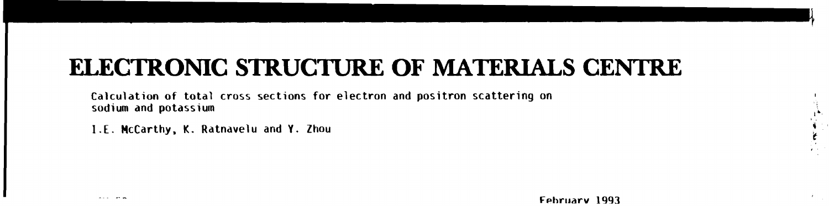# **ELECTRONIC STRUCTURE OF MATERIALS CENTRE**

**Calculation of total cross sections for electron and positron scattering on sodium and potassium** 

**I.E. McCarthy, K. Ratnavelu and Y. Zhou**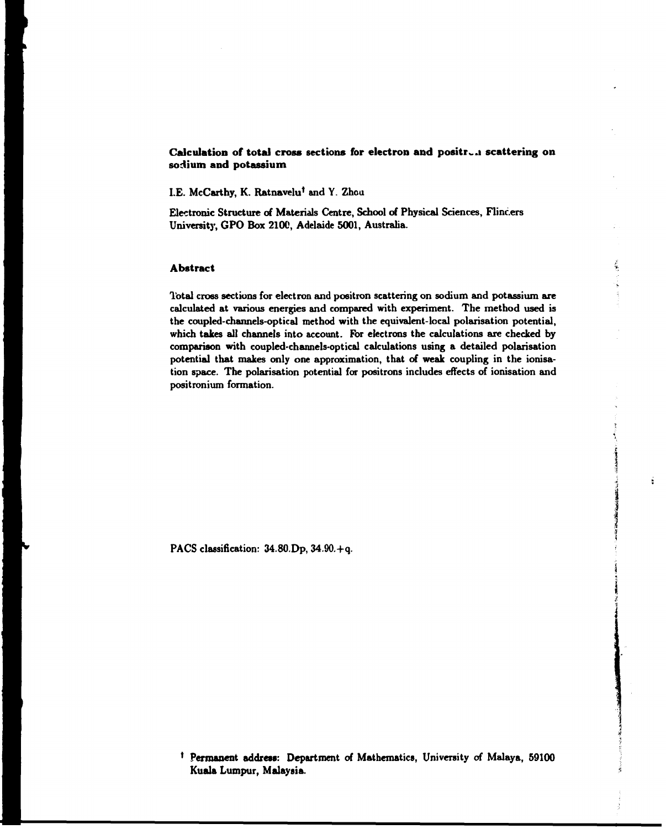# Calculation of total cross sections for electron and positron scattering on **sodium and potassium**

**I.E. McCarthy, K. Ratnavelu\* and Y. Zhou** 

**Electronic Structure of Materials Centre, School of Physical Sciences, Flinc.ers University, GPO Box 2100, Adelaide 5001, Australia.** 

# **Abstract**

**Total cross sections for electron and positron scattering on sodium and potassium are calculated at various energies and compared with experiment. The method used is the coupled-channels-optical method with the equivalent-local polarisation potential, which takes all channels into account. For electrons the calculations are checked by comparison with coupled-channels-optical calculations using a detailed polarisation potential that makes only one approximation, that of weak coupling in the ionisation space. The polarisation potential for positrons includes effects of ionisation and positronium formation.** 

ś

**PACS classification: 34.80.Dp, 34.90.+q.** 

**' Permanent address: Department of Mathematics, University of Malaya, 59100 Kuala Lumpur, Malaysia.**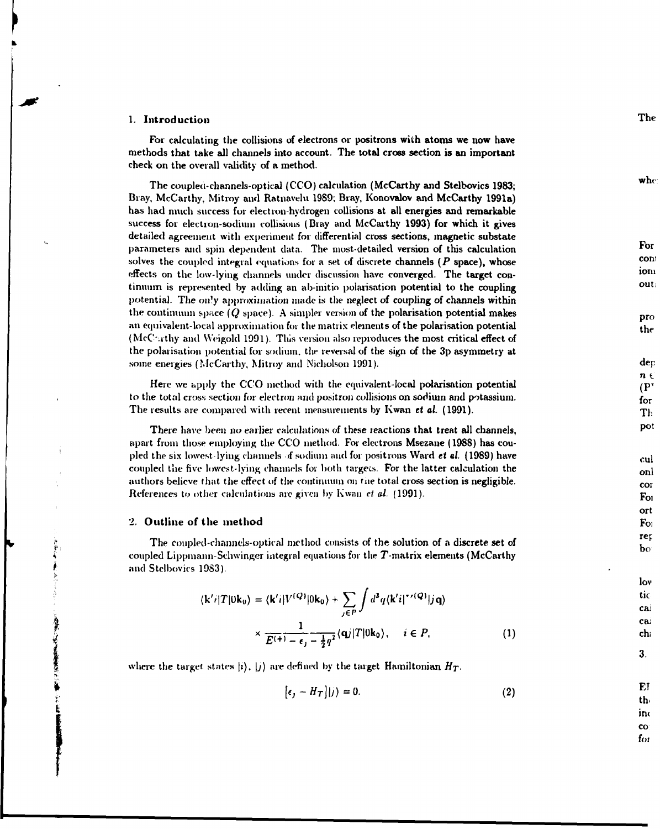## **1. Introduction**

For calculating the collisions of electrons or positrons with atoms we now have methods that take all channels into account. The total cross section is an important check on the overall validity of a method.

The couplea-channels-optical (CCO) calculation (McCarthy and Stelbovics 1983; Bray, McCarthy, Mitroy and Ratnavelu 1989; Bray, Konovalov and McCarthy 1991a) has had much success for election-hydrogen collisions at all energies and remarkable success for electron-sodium collisions (Bray and McCarthy 1993) for which it gives detailed agreement with experiment for differential cross sections, magnetic substate parameters and spin dependent data. The most-detailed version of this calculation solves the coupled integral equations for a set of discrete channels *(P* space), whose effects on the low-lying channels under discussion have converged. The target continuum is represented by adding an ab-initio polarisation potential to the coupling potential. The only approximation made is the neglect of coupling of channels within the continuum space *(Q* space). A simpler version of the polarisation potential makes an equivalent-local approximation for the matrix elements of the polarisation potential (McC'-.rthy and YVeigold 1991). This version also reproduces the most critical effect of the polarisation potential for sodium, the reversal of the sign of the 3p asymmetry at some energies (McCarthy, Mitroy and Nicholson 1991).

Here we apply the CCO method with the equivalent-local polarisation potential to the total cross section for electron and positron collisions on sodium and potassium. The results are compared with recent measurements by Kwan *et al.* (1991).

There have been no earlier calculations of these reactions that treat all channels, apart from those employing the CCO method. For electrons Msezane (1988) has coupled the six lowest-lying channels >f sodium and for positrons Ward ei *al.* (1989) have coupled the five lowest-lying channels for both targets. For the latter calculation the authors believe that the effect of the continuum on the total cross section is negligible. References to other calculations arc given by Kwan *et al.* (1991).

# 2. **Outline of the method**

The coupled-channels-optical method consists of the solution of a discrete set of coupled Lippmann-Schwinger integral equations for the T-matrix elements (McCarthy and Stelbovics 19S3).

$$
\langle \mathbf{k}'i|T|\mathbf{0}\mathbf{k}_0\rangle = \langle \mathbf{k}'i|V^{(Q)}|\mathbf{0}\mathbf{k}_0\rangle + \sum_{j\in P}\int d^3q \langle \mathbf{k}'i|^{*/(Q)}|j\mathbf{q}\rangle
$$

$$
\times \frac{1}{E^{(+)}-\epsilon_j-\frac{1}{2}q^2}\langle \mathbf{q}j|T|0\mathbf{k_0}\rangle, \quad i \in P,\tag{1}
$$

where the target states  $\vert i \rangle$ ,  $\vert j \rangle$  are defined by the target Hamiltonian  $H_T$ .

$$
[\epsilon_j - H_T] |j\rangle = 0. \tag{2}
$$

The

 $\mathbf{w}$ he

For cont ioni out

pro the

 $\bf{dep}$  $n \in$  $(P^{\prime})$  $for$ Th DO:

cul onl cor For ort  $F<sub>O1</sub>$ rep po

 $\log$ tic ca. cai ch.

3.

EI th. in  $\mathbf{co}$  $f_{O1}$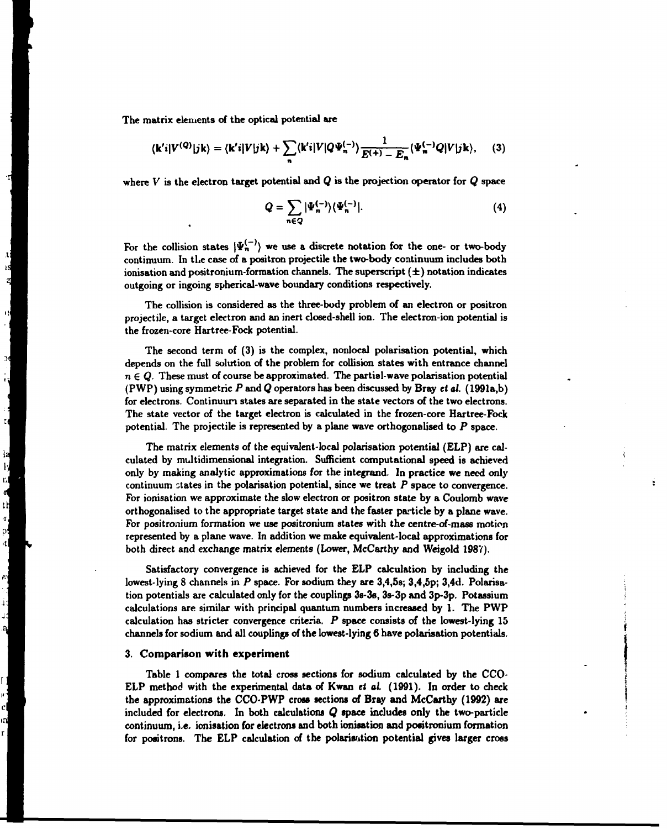**The matrix elements of the optical potential are** 

л rs<br>A

 $\mathcal{V}$ 

 $\frac{36}{1}$ 

호 명 후 도 도 보 도 모

$$
\langle \mathbf{k}'\mathbf{i}|V^{(Q)}|\mathbf{j}\mathbf{k}\rangle = \langle \mathbf{k}'\mathbf{i}|V|\mathbf{j}\mathbf{k}\rangle + \sum_{n} \langle \mathbf{k}'\mathbf{i}|V|Q\Psi_{n}^{(-)}\rangle \frac{1}{E^{(+)}-E_{n}} \langle \Psi_{n}^{(-)}Q|V|\mathbf{j}\mathbf{k}\rangle, \quad (3)
$$

**where** *V* **is the electron target potential and** *Q* **is the projection operator for** *Q* **space** 

$$
Q = \sum_{n \in Q} |\Psi_n^{(-)}\rangle \langle \Psi_n^{(-)}|.
$$
 (4)

For the collision states  $|\Psi_n^{(-)}\rangle$  we use a discrete notation for the one- or two-body **continuum. In the case of a positron projectile the two-body continuum includes both ionisation and positronium-formation channels. The superscript (±) notation indicates outgoing or ingoing spherical-wave boundary conditions respectively.** 

**The collision is considered as the three-body problem of an electron or positron projectile, a target electron and an inert closed-shell ion. The electron-ion potential is the frozen-core Hartree-Fock potential.** 

**The second term of (3) is the complex, nonlocal polarisation potential, which depends on the full solution of the problem for collision states with entrance channel**   $n \in Q$ . These must of course be approximated. The partial-wave polarisation potential **(PWP) using symmetric** *P* **and** *Q* **operators has been discussed by Bray** *et al.* **(1991a,b) for electrons. Continuum states are separated in the state vectors of the two electrons. The state vector of the target electron is calculated in the frozen-core Hartree-Fock potential. The projectile is represented by a plane wave orthogonalised to** *P* **space.** 

**The matrix elements of the equivalent-local polarisation potential (ELP) are calculated by multidimensional integration. Sufficient computational speed is achieved only by making analytic approximations for the integrand. In practice we need only continuum states in the polarisation potential, since we treat** *P* **space to convergence. For ionisation we approximate the slow electron or positron state by a Coulomb wave orthogonalised to the appropriate target state and the faster particle by a plane wave. For positronium formation we use positronium states with the centre-of-mass motion represented by a plane wave. In addition we make equivalent-local approximations for both direct and exchange matrix elements (Lower, McCarthy and Weigold 1987).** 

**Satisfactory convergence is achieved for the ELP calculation by including the lowest-lying 8 channels in** *P* **space. For sodium they are 3,4,5s; 3,4,5p; 3,4d. Polarisation potentials are calculated only for the couplings 3s-3s, 3s-3p and 3p-3p. Potassium calculations are similar with principal quantum numbers increased by 1. The PWP calculation has stricter convergence criteria.** *P* **space consists of the lowest-lying 15 channels for sodium and all couplings of the lowest-lying 6 have polarisation potentials.** 

## **3. Comparison with experiment**

**Table 1 compares the total cross sections for sodium calculated by the CCO-ELP method with the experimental data of Kwan** *et al* **(1991). In order to check the approximations the CCO-PWP cross sections of Bray and McCarthy (1992) are included for electrons. In both calculations** *Q* **space includes only the two-particle continuum, i.e. ionisation for electrons and both ionisation and positronium formation for positrons. The ELP calculation of the polarisation potential gives larger cross**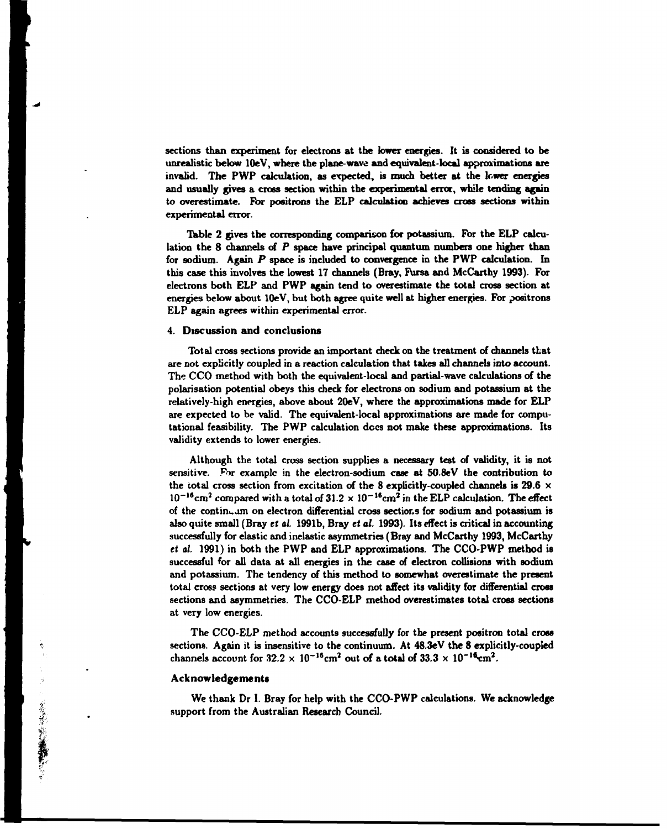**sections than experiment for electrons at the lower energies. It is considered to be unrealistic below lOeV, where the plane-wave and equivalent-local approximations are invalid. The PWP calculation, as expected, is much better at the lower energies and usually gives a cross section within the experimental error, while tending again to overestimate. For positrons the ELP calculation achieves cross sections within experimental error.** 

**Table 2 gives the corresponding comparison for potassium. For the ELP calculation the 8 channels of** *P* **space have principal quantum numbers one higher than for sodium. Again** *P* **space is included to convergence in the PWP calculation. In this case this involves the lowest 17 channels (Bray, Fursa and McCarthy 1993). For electrons both ELP and PWP again tend to overestimate the total cross section at energies below about lOeV, but both agree quite well at higher energies. For positrons ELP again agrees within experimental error.** 

## **4. Discussion and conclusions**

**Total cross sections provide an important check on the treatment of channels that are not explicitly coupled in a reaction calculation that takes all channels into account. The CCO method with both the equivalent-local and partial-wave calculations of the polarisation potential obeys this check for electrons on sodium and potassium at the relatively-high energies, above about 20eV, where the approximations made for ELP are expected to be valid. The equivalent-local approximations are made for computational feasibility. The PWP calculation decs not make these approximations. Its validity extends to lower energies.** 

**Although the total cross section supplies a necessary test of validity, it is not sensitive. For example in the electron-sodium case at 50-8eV the contribution to the total cross section from excitation of the 8 explicitly-coupled channels is 29.6 x**   $10^{-16}$  cm<sup>2</sup> compared with a total of  $31.2 \times 10^{-16}$  cm<sup>2</sup> in the ELP calculation. The effect **of the continuum on electron differential cross sections for sodium and potassium is also quite small (Bray** *et al.* **1991b, Bray** *et al.* **1993). Its effect is critical in accounting successfully for elastic and inelastic asymmetries (Bray and McCarthy 1993, McCarthy**  *et al.* **1991) in both the PWP and ELP approximations. The CCO-PWP method is successful for all data at all energies in the case of electron collisions with sodium and potassium. The tendency of this method to somewhat overestimate the present total cross sections at very low energy does not affect its validity for differential cross sections and asymmetries. The CCO-ELP method overestimates total cross sections at very low energies.** 

**The CCO-ELP method accounts successfully for the present positron total cross sections. Again it is insensitive to the continuum. At 48.3eV the 8 explicitly-coupled**  channels account for  $32.2 \times 10^{-16}$  cm<sup>2</sup> out of a total of  $33.3 \times 10^{-16}$  cm<sup>2</sup>.

## **Acknowledgements**

**We thank Dr I. Bray for help with the CCO-PWP calculations. We acknowledge support from the Australian Research Council.**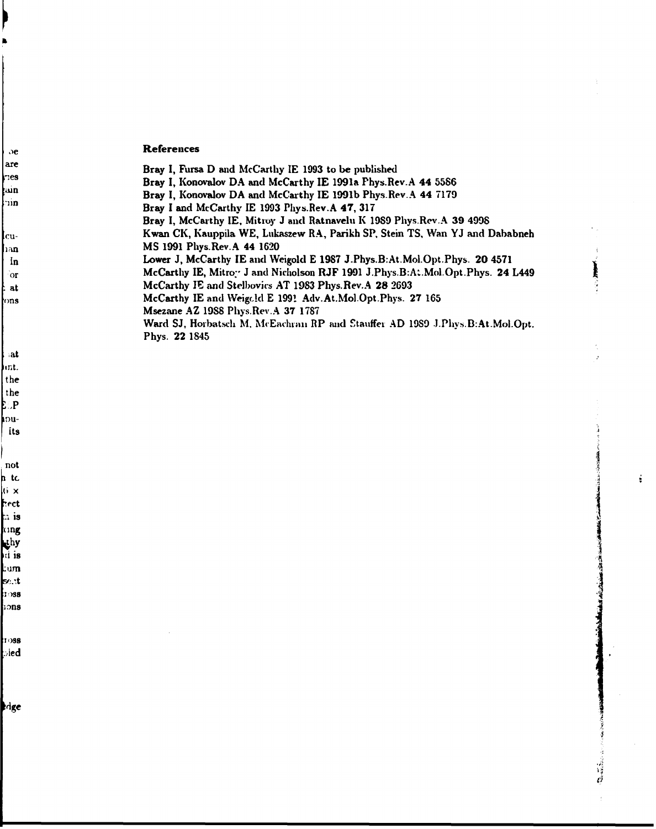# **References**

 $\sim$ 

| ∋e

the<br>the<br>EP<br>Pu-<br>Its

I  $\int$  not

ntick x the change of the change of the change of the change of the change of the change of the change of the change of the change of the change of the change of the change of the change of the change of the change of the

1088  $\log$ 

dge

| are         | Bray I, Fursa D and McCarthy IE 1993 to be published                           |  |  |  |  |
|-------------|--------------------------------------------------------------------------------|--|--|--|--|
| $\Gamma$    | Bray I, Konovalov DA and McCarthy IE 1991a Phys. Rev. A 44 5586                |  |  |  |  |
| <b>kain</b> | Bray I, Konovalov DA and McCarthy IE 1991b Phys. Rev.A 44 7179                 |  |  |  |  |
| lum         | Bray I and McCarthy IE 1993 Phys. Rev. A 47, 317                               |  |  |  |  |
|             | Bray I, McCarthy IE, Mitroy J and Ratnavelu K 1989 Phys. Rev.A 39 4998         |  |  |  |  |
| lcu-        | Kwan CK, Kauppila WE, Lukaszew RA, Parikh SP, Stein TS, Wan YJ and Dababneh    |  |  |  |  |
| han         | MS 1991 Phys. Rev. A 44 1620                                                   |  |  |  |  |
| In          | Lower J, McCarthy IE and Weigold E 1987 J.Phys.B:At.Mol.Opt.Phys. 20 4571      |  |  |  |  |
| <b>or</b>   | McCarthy IE, Mitroy J and Nicholson RJF 1991 J.Phys.B:A:.Mol.Opt.Phys. 24 L449 |  |  |  |  |
| t at        | McCarthy JE and Stelbovics AT 1983 Phys. Rev.A 28 2693                         |  |  |  |  |
| rons        | McCarthy IE and Weigold E 1991 Adv.At.Mol.Opt.Phys. 27 165                     |  |  |  |  |
|             | Msezane AZ 1988 Phys.Rev.A 37 1787                                             |  |  |  |  |
|             | Ward SJ, Horbatsch M, McEachran RP and Stauffer AD 1989 J.Phys.B:At.Mol.Opt.   |  |  |  |  |
|             | Phys. 22 1845                                                                  |  |  |  |  |
| l iat       |                                                                                |  |  |  |  |
| Jint.       |                                                                                |  |  |  |  |

 $\frac{1}{2}$ 

 $\mathcal{L}^{\pm}$ 

 $\frac{1}{2}$ 

 $\frac{1}{2}$ 

 $\hat{\mathcal{L}}$ 

 $\hat{L}$ 

 $\ddot{\ddot{\text{z}}}$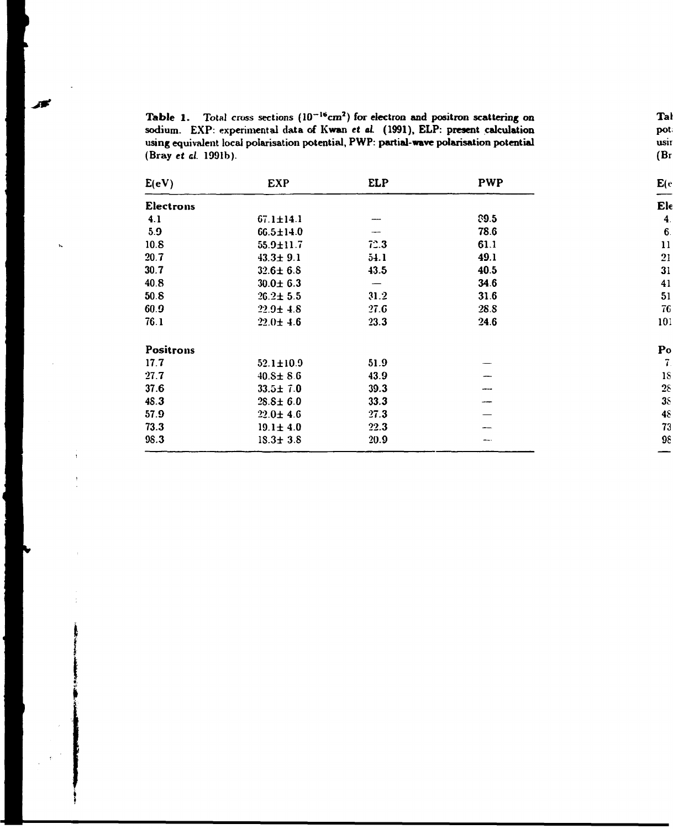| <b>Table 1.</b> Total cross sections $(10^{-16} \text{cm}^2)$ for electron and positron scattering on |
|-------------------------------------------------------------------------------------------------------|
| sodium. EXP: experimental data of Kwan et al. (1991), ELP: present calculation                        |
| using equivalent local polarisation potential, PWP: partial-wave polarisation potential               |
| (Bray <i>et al.</i> 1991b).                                                                           |

 $\ddot{\phantom{a}}$ 

 $\mathbf{t}_\mathbf{a}$ 

 $\overline{1}$ 

冰

| E(eV)     | <b>EXP</b>      | <b>ELP</b> | <b>PWP</b> | E(e)               |
|-----------|-----------------|------------|------------|--------------------|
| Electrons |                 |            |            | Ele                |
| 4.1       | $67.1 \pm 14.1$ |            | 89.5       | $\boldsymbol{4}$ . |
| 5.9       | $66.5 \pm 14.0$ |            | 78.6       | 6.                 |
| 10.8      | $55.9 \pm 11.7$ | 72.3       | 61.1       | 11                 |
| 20.7      | $43.3 \pm 9.1$  | 54.1       | 49.1       | 21                 |
| 30.7      | $32.6 \pm 6.8$  | 43.5       | 40.5       | 31                 |
| 40.8      | $30.0 \pm 6.3$  |            | 34.6       | 41                 |
| 50.8      | $26.2 \pm 5.5$  | 31.2       | 31.6       | 51                 |
| 60.9      | $22.9 \pm 4.8$  | 27.6       | 28.8       | 76                 |
| 76.1      | $22.0 \pm 4.6$  | 23.3       | 24.6       | 101                |
| Positrons |                 |            |            | $\mathbf{p}_0$     |
| 17.7      | $52.1 \pm 10.9$ | 51.9       |            | 7.                 |
| 27.7      | $40.8 \pm 8.6$  | 43.9       |            | <b>18</b>          |
| 37.6      | $33.5 \pm 7.0$  | 39.3       |            | 28                 |
| 48.3      | $28.8 \pm 6.0$  | 33.3       |            | 38                 |
| 57.9      | $22.0 \pm 4.6$  | 27.3       |            | 48                 |
| 73.3      | $19.1 \pm 4.0$  | 22.3       |            | 73                 |
| 98.3      | $18.3 \pm 3.8$  | 20.9       |            | 98                 |

Tal<br>pot.<br>usir<br>(Br